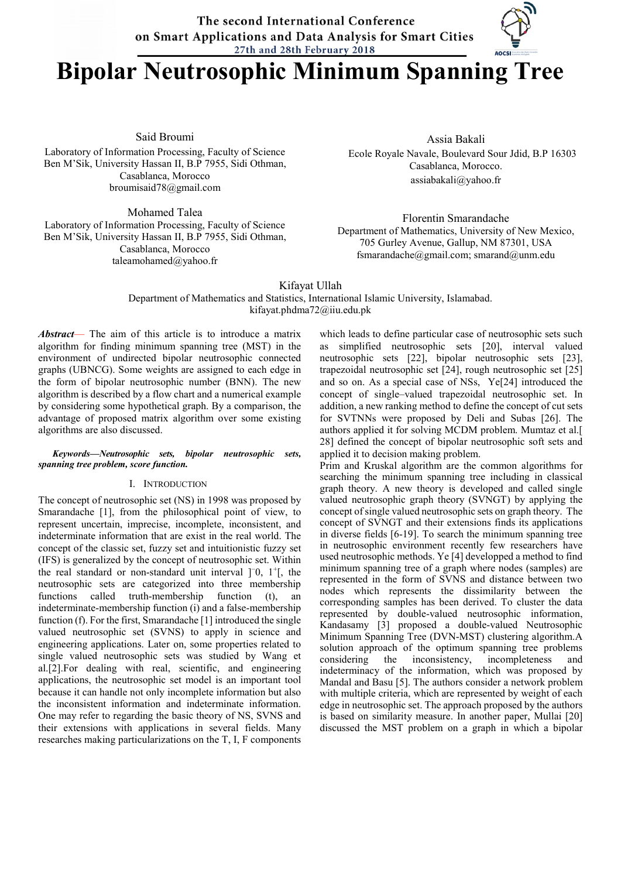The second International Conference on Smart Applications and Data Analysis for Smart Cities 27th and 28th February 2018

# Bipolar Neutrosophic Minimum Spanning Tree

Said Broumi

Laboratory of Information Processing, Faculty of Science Ben M'Sik, University Hassan II, B.P 7955, Sidi Othman, Casablanca, Morocco broumisaid78@gmail.com

Mohamed Talea Laboratory of Information Processing, Faculty of Science Ben M'Sik, University Hassan II, B.P 7955, Sidi Othman, Casablanca, Morocco taleamohamed@yahoo.fr

Assia Bakali Ecole Royale Navale, Boulevard Sour Jdid, B.P 16303 Casablanca, Morocco. assiabakali@yahoo.fr

Florentin Smarandache Department of Mathematics, University of New Mexico, 705 Gurley Avenue, Gallup, NM 87301, USA fsmarandache@gmail.com; smarand@unm.edu

Kifayat Ullah

Department of Mathematics and Statistics, International Islamic University, Islamabad. kifayat.phdma72@iiu.edu.pk

*Abstract*— The aim of this article is to introduce a matrix algorithm for finding minimum spanning tree (MST) in the environment of undirected bipolar neutrosophic connected graphs (UBNCG). Some weights are assigned to each edge in the form of bipolar neutrosophic number (BNN). The new algorithm is described by a flow chart and a numerical example by considering some hypothetical graph. By a comparison, the advantage of proposed matrix algorithm over some existing algorithms are also discussed.

#### *Keywords—Neutrosophic sets, bipolar neutrosophic sets, spanning tree problem, score function.*

#### I. INTRODUCTION

The concept of neutrosophic set (NS) in 1998 was proposed by Smarandache [1], from the philosophical point of view, to represent uncertain, imprecise, incomplete, inconsistent, and indeterminate information that are exist in the real world. The concept of the classic set, fuzzy set and intuitionistic fuzzy set (IFS) is generalized by the concept of neutrosophic set. Within the real standard or non-standard unit interval ]−0, 1+[, the neutrosophic sets are categorized into three membership functions called truth-membership function (t), an indeterminate-membership function (i) and a false-membership function (f). For the first, Smarandache [1] introduced the single valued neutrosophic set (SVNS) to apply in science and engineering applications. Later on, some properties related to single valued neutrosophic sets was studied by Wang et al.[2].For dealing with real, scientific, and engineering applications, the neutrosophic set model is an important tool because it can handle not only incomplete information but also the inconsistent information and indeterminate information. One may refer to regarding the basic theory of NS, SVNS and their extensions with applications in several fields. Many researches making particularizations on the T, I, F components

which leads to define particular case of neutrosophic sets such as simplified neutrosophic sets [20], interval valued neutrosophic sets [22], bipolar neutrosophic sets [23], trapezoidal neutrosophic set [24], rough neutrosophic set [25] and so on. As a special case of NSs, Ye[24] introduced the concept of single–valued trapezoidal neutrosophic set. In addition, a new ranking method to define the concept of cut sets for SVTNNs were proposed by Deli and Subas [26]. The authors applied it for solving MCDM problem. Mumtaz et al.[ 28] defined the concept of bipolar neutrosophic soft sets and applied it to decision making problem.

Prim and Kruskal algorithm are the common algorithms for searching the minimum spanning tree including in classical graph theory. A new theory is developed and called single valued neutrosophic graph theory (SVNGT) by applying the concept of single valued neutrosophic sets on graph theory. The concept of SVNGT and their extensions finds its applications in diverse fields [6-19]. To search the minimum spanning tree in neutrosophic environment recently few researchers have used neutrosophic methods. Ye [4] developped a method to find minimum spanning tree of a graph where nodes (samples) are represented in the form of SVNS and distance between two nodes which represents the dissimilarity between the corresponding samples has been derived. To cluster the data represented by double-valued neutrosophic information, Kandasamy [3] proposed a double-valued Neutrosophic Minimum Spanning Tree (DVN-MST) clustering algorithm.A solution approach of the optimum spanning tree problems<br>considering the inconsistency, incompleteness and the inconsistency, incompleteness and indeterminacy of the information, which was proposed by Mandal and Basu [5]. The authors consider a network problem with multiple criteria, which are represented by weight of each edge in neutrosophic set. The approach proposed by the authors is based on similarity measure. In another paper, Mullai [20] discussed the MST problem on a graph in which a bipolar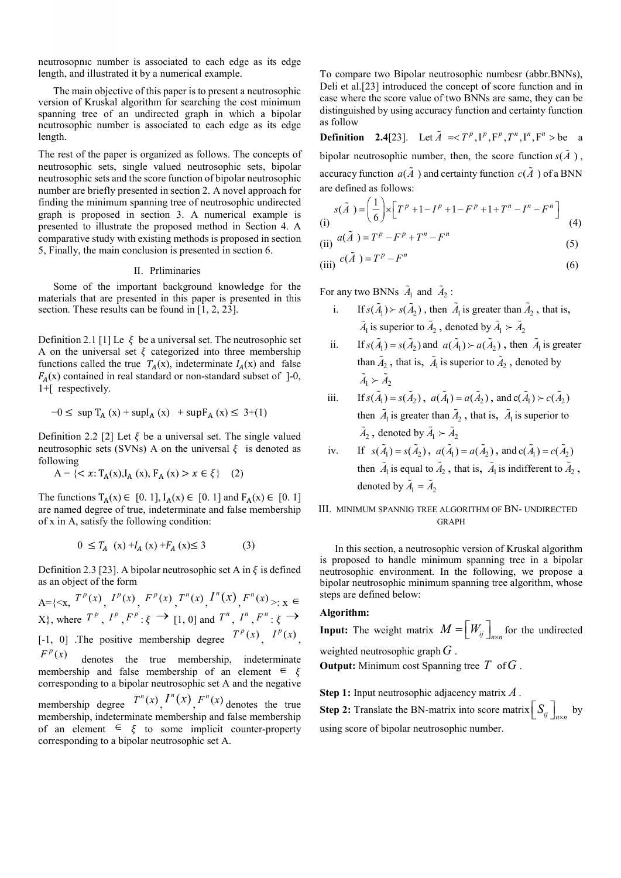neutrosophic number is associated to each edge as its edge length, and illustrated it by a numerical example.

The main objective of this paper is to present a neutrosophic version of Kruskal algorithm for searching the cost minimum spanning tree of an undirected graph in which a bipolar neutrosophic number is associated to each edge as its edge length.

The rest of the paper is organized as follows. The concepts of neutrosophic sets, single valued neutrosophic sets, bipolar neutrosophic sets and the score function of bipolar neutrosophic number are briefly presented in section 2. A novel approach for finding the minimum spanning tree of neutrosophic undirected graph is proposed in section 3. A numerical example is presented to illustrate the proposed method in Section 4. A comparative study with existing methods is proposed in section 5, Finally, the main conclusion is presented in section 6.

#### II. Prliminaries

Some of the important background knowledge for the materials that are presented in this paper is presented in this section. These results can be found in [1, 2, 23].

Definition 2.1 [1] Le  $\xi$  be a universal set. The neutrosophic set A on the universal set  $\xi$  categorized into three membership functions called the true  $T_A(x)$ , indeterminate  $I_A(x)$  and false  $F_A(x)$  contained in real standard or non-standard subset of ]-0, 1+[ respectively.

$$
-0 \le \sup T_A(x) + \sup I_A(x) + \sup F_A(x) \le 3 + (1)
$$

Definition 2.2 [2] Let  $\xi$  be a universal set. The single valued neutrosophic sets (SVNs) A on the universal  $\xi$  is denoted as following

$$
A = \{ \langle x: T_A(x), I_A(x), F_A(x) \rangle \; x \in \xi \} \quad (2)
$$

The functions  $T_A(x) \in [0, 1]$ ,  $I_A(x) \in [0, 1]$  and  $F_A(x) \in [0, 1]$ are named degree of true, indeterminate and false membership of x in A, satisfy the following condition:

$$
0 \le T_A(x) + I_A(x) + F_A(x) \le 3 \tag{3}
$$

Definition 2.3 [23]. A bipolar neutrosophic set A in  $\xi$  is defined as an object of the form

 $A = \{ \langle x, T^p(x), T^p(x), T^p(x), T^n(x), T^n(x), F^n(x) \rangle : x \in$  $X$ }, where  $T^p$ ,  $I^p$ ,  $F^p$ :  $\xi \rightarrow [1, 0]$  and  $T^n$ ,  $I^n$ ,  $F^n$ :  $\xi \rightarrow$ [-1, 0] The positive membership degree  $T^p(x)$ ,  $I^p(x)$  $F<sup>p</sup>(x)$  denotes the true membership, indeterminate

membership and false membership of an element  $\in \xi$ corresponding to a bipolar neutrosophic set A and the negative membership degree  $T^n(x)$ ,  $T^n(x)$ ,  $F^n(x)$  denotes the true membership, indeterminate membership and false membership of an element  $\in \xi$  to some implicit counter-property corresponding to a bipolar neutrosophic set A.

To compare two Bipolar neutrosophic numbesr (abbr.BNNs), Deli et al.[23] introduced the concept of score function and in case where the score value of two BNNs are same, they can be distinguished by using accuracy function and certainty function as follow

**Definition** 2.4[23]. Let  $\tilde{A} = \langle T^p, I^p, F^p, T^n, I^n, F^n \rangle$  be a bipolar neutrosophic number, then, the score function  $s(\tilde{A})$ , accuracy function  $a(\tilde{A})$  and certainty function  $c(\tilde{A})$  of a BNN are defined as follows:

(i) 
$$
s(\tilde{A}) = \left(\frac{1}{6}\right) \times \left[T^{p} + 1 - I^{p} + 1 - F^{p} + 1 + T^{n} - I^{n} - F^{n}\right]
$$

$$
(4)
$$

(ii) 
$$
a(\tilde{A}) = T^p - F^p + T^n - F^n \tag{5}
$$

(iii) 
$$
c(\tilde{A}) = T^p - F^n
$$
 (6)

For any two BNNs  $\tilde{A}_1$  and  $\tilde{A}_2$ :

- i. If  $s(\tilde{A}_1) > s(\tilde{A}_2)$ , then  $\tilde{A}_1$  is greater than  $\tilde{A}_2$ , that is,  $\tilde{A}_1$  is superior to  $\tilde{A}_2$  , denoted by  $\tilde{A}_1 \succ \tilde{A}_2$
- ii. If  $s(\tilde{A}_1) = s(\tilde{A}_2)$  and  $a(\tilde{A}_1) \succ a(\tilde{A}_2)$ , then  $\tilde{A}_1$  is greater than  $\tilde{A}_2$ , that is,  $\tilde{A}_1$  is superior to  $\tilde{A}_2$ , denoted by  $\tilde{A}_1 \succ \tilde{A}_2$

iii. If 
$$
s(\tilde{A}_1) = s(\tilde{A}_2)
$$
,  $a(\tilde{A}_1) = a(\tilde{A}_2)$ , and  $c(\tilde{A}_1) \succ c(\tilde{A}_2)$   
then  $\tilde{A}_1$  is greater than  $\tilde{A}_2$ , that is,  $\tilde{A}_1$  is superior to  
 $\tilde{A}_2$ , denoted by  $\tilde{A}_1 \succ \tilde{A}_2$ 

iv. If  $s(\tilde{A}_1) = s(\tilde{A}_2)$ ,  $a(\tilde{A}_1) = a(\tilde{A}_2)$ , and  $c(\tilde{A}_1) = c(\tilde{A}_2)$ then  $\tilde{A}_1$  is equal to  $\tilde{A}_2$ , that is,  $\tilde{A}_1$  is indifferent to  $\tilde{A}_2$ , denoted by  $\tilde{A}_1 = \tilde{A}_2$ 

## III. MINIMUM SPANNIG TREE ALGORITHM OF BN- UNDIRECTED **GRAPH**

In this section, a neutrosophic version of Kruskal algorithm is proposed to handle minimum spanning tree in a bipolar neutrosophic environment. In the following, we propose a bipolar neutrosophic minimum spanning tree algorithm, whose steps are defined below:

#### Algorithm:

**Input:** The weight matrix  $M = \begin{bmatrix} W_{ij} \end{bmatrix}$  for the undirected weighted neutrosophic graph*G* . Output: Minimum cost Spanning tree *T* of*G* .

Step 1: Input neutrosophic adjacency matrix *A* . **Step 2:** Translate the BN-matrix into score matrix  $\left[S_{ij}\right]_{n\times n}$  by using score of bipolar neutrosophic number.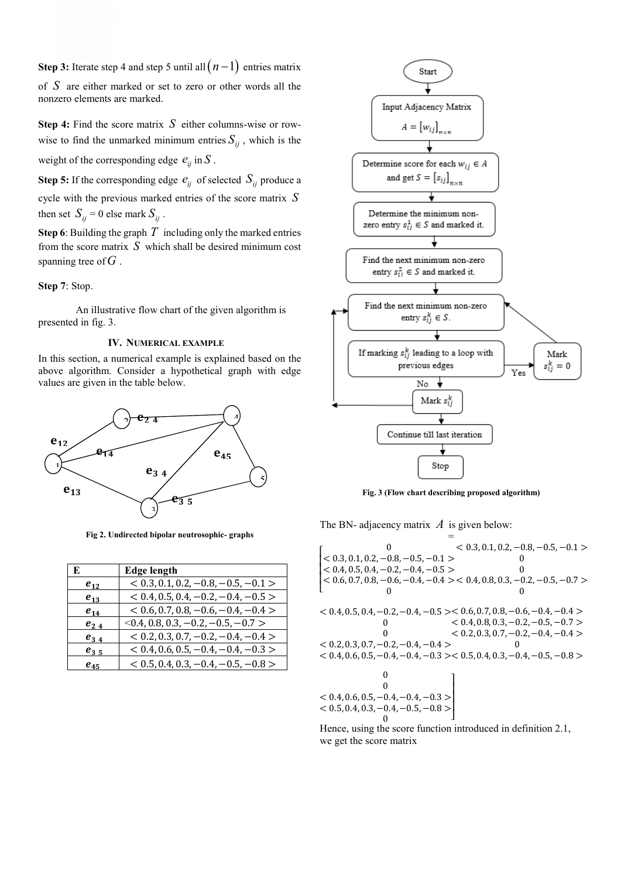**Step 3:** Iterate step 4 and step 5 until all  $(n-1)$  entries matrix of *S* are either marked or set to zero or other words all the nonzero elements are marked.

Step 4: Find the score matrix *S* either columns-wise or rowwise to find the unmarked minimum entries  $S_{ij}$ , which is the weight of the corresponding edge  $e_{ii}$  in  $S$ .

**Step 5:** If the corresponding edge  $e_{ii}$  of selected  $S_{ii}$  produce a cycle with the previous marked entries of the score matrix *S* then set  $S_{ii} = 0$  else mark  $S_{ii}$ .

Step 6: Building the graph *T* including only the marked entries from the score matrix *S* which shall be desired minimum cost spanning tree of*G* .

Step 7: Stop.

An illustrative flow chart of the given algorithm is presented in fig. 3.

### IV. NUMERICAL EXAMPLE

In this section, a numerical example is explained based on the above algorithm. Consider a hypothetical graph with edge values are given in the table below.



Fig 2. Undirected bipolar neutrosophic- graphs

| E        | <b>Edge length</b>                    |
|----------|---------------------------------------|
| $e_{12}$ | $< 0.3, 0.1, 0.2, -0.8, -0.5, -0.1 >$ |
| $e_{13}$ | $< 0.4, 0.5, 0.4, -0.2, -0.4, -0.5 >$ |
| $e_{14}$ | $< 0.6, 0.7, 0.8, -0.6, -0.4, -0.4 >$ |
| $e_{24}$ | $0.4, 0.8, 0.3, -0.2, -0.5, -0.7 >$   |
| $e_{34}$ | $< 0.2, 0.3, 0.7, -0.2, -0.4, -0.4 >$ |
| $e_{35}$ | $< 0.4, 0.6, 0.5, -0.4, -0.4, -0.3 >$ |
| $e_{45}$ | $< 0.5, 0.4, 0.3, -0.4, -0.5, -0.8 >$ |



Fig. 3 (Flow chart describing proposed algorithm)

The BN- adjacency matrix *A* is given below:

= ⎣  $\vert$  < 0.6, 0.7, 0.8, -0.6, -0.4, -0.4 > < 0.4, 0.8, 0.3, -0.2, -0.5, -0.7 > ⎢  $\vert \langle 0.3, 0.1, 0.2, 0.0, 0.3, 0.1 \rangle$ <br> $\vert < 0.4, 0.5, 0.4, -0.2, -0.4, -0.5 \rangle$  $\begin{bmatrix} 0 \\ 0.3, 0.1, 0.2, -0.8, -0.5, -0.1 \end{bmatrix}$ 0  $< 0.3, 0.1, 0.2, -0.8, -0.5, -0.1 >$  $\Omega$  $\Omega$ 0  $< 0.4, 0.5, 0.4, -0.2, -0.4, -0.5 > < 0.6, 0.7, 0.8, -0.6, -0.4, -0.4 >$  $\Omega$  $\theta$  $< 0.2, 0.3, 0.7, -0.2, -0.4, -0.4 >$  $< 0.4, 0.6, 0.5, -0.4, -0.4, -0.3 > < 0.5, 0.4, 0.3, -0.4, -0.5, -0.8 >$  $< 0.4, 0.8, 0.3, -0.2, -0.5, -0.7 >$  $< 0.2, 0.3, 0.7, -0.2, -0.4, -0.4 >$  $\Omega$  $\theta$  $\Omega$  $< 0.4, 0.6, 0.5, -0.4, -0.4, -0.3 >$  $< 0.5, 0.4, 0.3, -0.4, -0.5, -0.8 >$  $\begin{array}{ccc} 0 & & \end{array}$  $\overline{\phantom{a}}$ ⎥  $\overline{\phantom{a}}$  $\overline{\phantom{a}}$ 

Hence, using the score function introduced in definition 2.1, we get the score matrix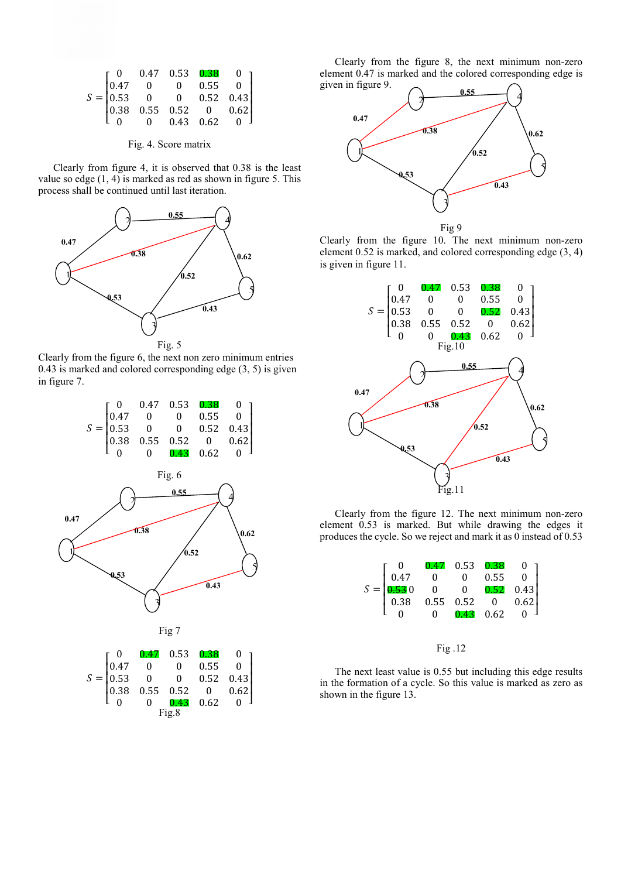|  |  | $S=\begin{bmatrix} 0 & 0.47 & 0.53 & \textbf{0.38} & 0 \\ 0.47 & 0 & 0 & 0.55 & 0 \\ 0.53 & 0 & 0 & 0.52 & 0.43 \\ 0.38 & 0.55 & 0.52 & 0 & 0.62 \\ 0 & 0 & 0.43 & 0.62 & 0 \end{bmatrix}$ |  |
|--|--|--------------------------------------------------------------------------------------------------------------------------------------------------------------------------------------------|--|
|  |  |                                                                                                                                                                                            |  |
|  |  |                                                                                                                                                                                            |  |
|  |  |                                                                                                                                                                                            |  |
|  |  |                                                                                                                                                                                            |  |
|  |  |                                                                                                                                                                                            |  |

Fig. 4. Score matrix

Clearly from figure 4, it is observed that 0.38 is the least value so edge  $(1, 4)$  is marked as red as shown in figure 5. This process shall be continued until last iteration.



Clearly from the figure 6, the next non zero minimum entries 0.43 is marked and colored corresponding edge (3, 5) is given in figure 7.





|                                                                                                                                          |                                           |  | $\begin{array}{ccc} 0.47 & 0.53 & 0.38 \ 0 & 0 & 0.55 \end{array}$ |             | $\overline{\mathbf{0}}$ |  |  |
|------------------------------------------------------------------------------------------------------------------------------------------|-------------------------------------------|--|--------------------------------------------------------------------|-------------|-------------------------|--|--|
|                                                                                                                                          | $\begin{pmatrix} 0 \\ 0.47 \end{pmatrix}$ |  |                                                                    |             | $\overline{\mathbf{0}}$ |  |  |
|                                                                                                                                          |                                           |  |                                                                    | $0.52$ 0.43 |                         |  |  |
|                                                                                                                                          |                                           |  |                                                                    |             | 0.62                    |  |  |
|                                                                                                                                          |                                           |  |                                                                    |             |                         |  |  |
| $\Gamma = \begin{vmatrix} 0.47 & 0 & 0 \\ 0.53 & 0 & 0 \\ 0.38 & 0.55 & 0.52 \\ 0 & 0 & 0 \\ 0 & 0 & 0.43 \\ 0 & 0 & 0.62 \end{vmatrix}$ |                                           |  |                                                                    |             |                         |  |  |

Clearly from the figure 8, the next minimum non-zero element 0.47 is marked and the colored corresponding edge is given in figure 9.



Fig 9

Clearly from the figure 10. The next minimum non-zero element 0.52 is marked, and colored corresponding edge (3, 4) is given in figure 11.



Clearly from the figure 12. The next minimum non-zero element 0.53 is marked. But while drawing the edges it produces the cycle. So we reject and mark it as 0 instead of 0.53



## Fig .12

The next least value is 0.55 but including this edge results in the formation of a cycle. So this value is marked as zero as shown in the figure 13.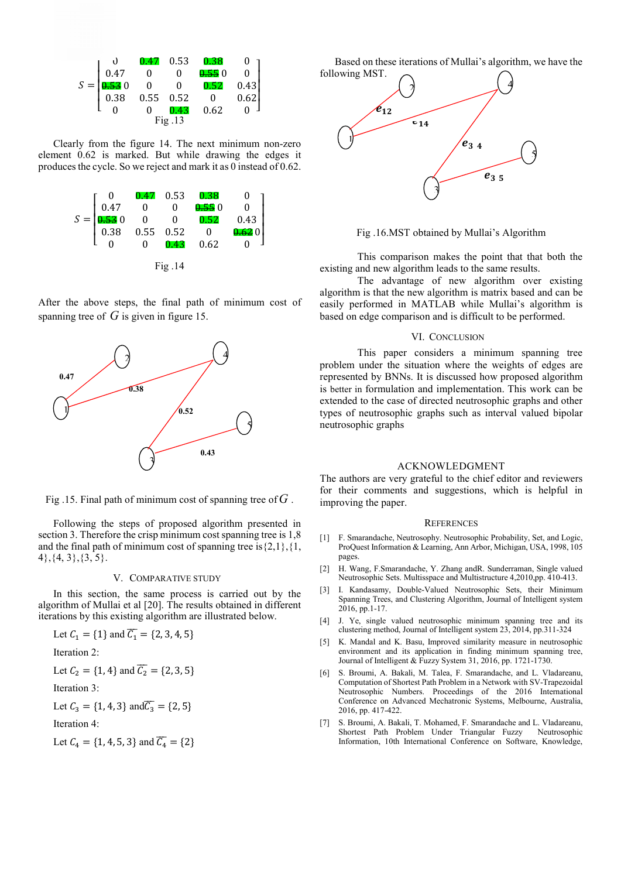|        |                  | 0.47                                                             | 0.53 | $0.38\,$ |      |
|--------|------------------|------------------------------------------------------------------|------|----------|------|
|        | $\frac{0}{0.47}$ |                                                                  |      | 0.550    |      |
| $S =$  | 0.530            | $\begin{bmatrix} 0 & 0 \\ 0.55 & 0.52 \\ 0 & 0.43 \end{bmatrix}$ |      | 0.52     | 0.43 |
|        | 0.38             |                                                                  |      |          | 0.62 |
|        |                  |                                                                  |      | 0.62     |      |
| Fig.13 |                  |                                                                  |      |          |      |

Clearly from the figure 14. The next minimum non-zero element 0.62 is marked. But while drawing the edges it produces the cycle. So we reject and mark it as 0 instead of 0.62.



After the above steps, the final path of minimum cost of spanning tree of  $G$  is given in figure 15.



Fig .15. Final path of minimum cost of spanning tree of*G* .

Following the steps of proposed algorithm presented in section 3. Therefore the crisp minimum cost spanning tree is 1,8 and the final path of minimum cost of spanning tree is  $\{2,1\},\{1,$ 4},{4, 3},{3, 5}.

#### V. COMPARATIVE STUDY

In this section, the same process is carried out by the algorithm of Mullai et al [20]. The results obtained in different iterations by this existing algorithm are illustrated below.

Let 
$$
C_1 = \{1\}
$$
 and  $\overline{C_1} = \{2, 3, 4, 5\}$ 

Iteration 2:

Let 
$$
C_2 = \{1, 4\}
$$
 and  $\overline{C_2} = \{2, 3, 5\}$ 

Iteration 3:

Let 
$$
C_3 = \{1, 4, 3\}
$$
 and  $\overline{C_3} = \{2, 5\}$ 

Iteration 4:

Let  $C_4 = \{1, 4, 5, 3\}$  and  $\overline{C_4} = \{2\}$ 

Based on these iterations of Mullai's algorithm, we have the following MST.



Fig .16.MST obtained by Mullai's Algorithm

This comparison makes the point that that both the existing and new algorithm leads to the same results.

The advantage of new algorithm over existing algorithm is that the new algorithm is matrix based and can be easily performed in MATLAB while Mullai's algorithm is based on edge comparison and is difficult to be performed.

#### VI. CONCLUSION

This paper considers a minimum spanning tree problem under the situation where the weights of edges are represented by BNNs. It is discussed how proposed algorithm is better in formulation and implementation. This work can be extended to the case of directed neutrosophic graphs and other types of neutrosophic graphs such as interval valued bipolar neutrosophic graphs

#### ACKNOWLEDGMENT

The authors are very grateful to the chief editor and reviewers for their comments and suggestions, which is helpful in improving the paper.

#### **REFERENCES**

- [1] F. Smarandache, Neutrosophy. Neutrosophic Probability, Set, and Logic, ProQuest Information & Learning, Ann Arbor, Michigan, USA, 1998, 105 pages.
- [2] H. Wang, F.Smarandache, Y. Zhang andR. Sunderraman, Single valued Neutrosophic Sets. Multisspace and Multistructure 4,2010,pp. 410-413.
- [3] I. Kandasamy, Double-Valued Neutrosophic Sets, their Minimum Spanning Trees, and Clustering Algorithm, Journal of Intelligent system 2016, pp.1-17.
- [4] J. Ye, single valued neutrosophic minimum spanning tree and its clustering method, Journal of Intelligent system 23, 2014, pp.311-324
- [5] K. Mandal and K. Basu, Improved similarity measure in neutrosophic environment and its application in finding minimum spanning tree, Journal of Intelligent & Fuzzy System 31, 2016, pp. 1721-1730.
- [6] S. Broumi, A. Bakali, M. Talea, F. Smarandache, and L. Vladareanu, Computation of Shortest Path Problem in a Network with SV-Trapezoidal Neutrosophic Numbers. Proceedings of the 2016 International Conference on Advanced Mechatronic Systems, Melbourne, Australia, 2016, pp. 417-422.
- [7] S. Broumi, A. Bakali, T. Mohamed, F. Smarandache and L. Vladareanu, Shortest Path Problem Under Triangular Fuzzy Information, 10th International Conference on Software, Knowledge,